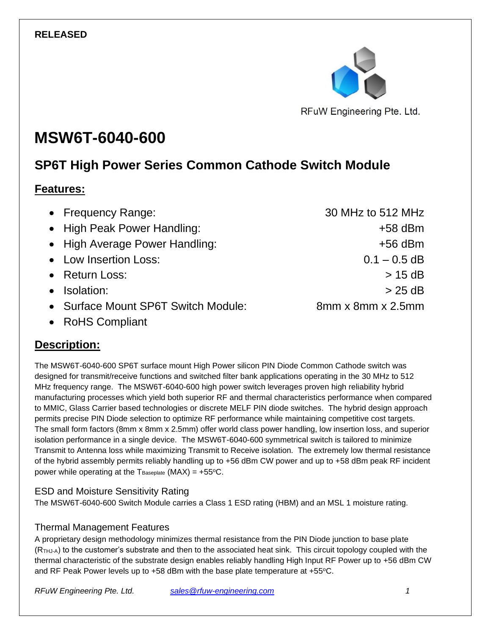

# **MSW6T-6040-600**

# **SP6T High Power Series Common Cathode Switch Module**

#### **Features:**

| • Frequency Range:                  | 30 MHz to 512 MHz |
|-------------------------------------|-------------------|
| • High Peak Power Handling:         | $+58$ dBm         |
| • High Average Power Handling:      | $+56$ dBm         |
| • Low Insertion Loss:               | $0.1 - 0.5$ dB    |
| • Return Loss:                      | $>$ 15 dB         |
| Isolation:                          | $> 25$ dB         |
| • Surface Mount SP6T Switch Module: | 8mm x 8mm x 2.5mm |
|                                     |                   |

• RoHS Compliant

### **Description:**

The MSW6T-6040-600 SP6T surface mount High Power silicon PIN Diode Common Cathode switch was designed for transmit/receive functions and switched filter bank applications operating in the 30 MHz to 512 MHz frequency range. The MSW6T-6040-600 high power switch leverages proven high reliability hybrid manufacturing processes which yield both superior RF and thermal characteristics performance when compared to MMIC, Glass Carrier based technologies or discrete MELF PIN diode switches. The hybrid design approach permits precise PIN Diode selection to optimize RF performance while maintaining competitive cost targets. The small form factors (8mm x 8mm x 2.5mm) offer world class power handling, low insertion loss, and superior isolation performance in a single device. The MSW6T-6040-600 symmetrical switch is tailored to minimize Transmit to Antenna loss while maximizing Transmit to Receive isolation. The extremely low thermal resistance of the hybrid assembly permits reliably handling up to +56 dBm CW power and up to +58 dBm peak RF incident power while operating at the  $T_{\text{Baseplate}}$  (MAX) = +55°C.

#### ESD and Moisture Sensitivity Rating

The MSW6T-6040-600 Switch Module carries a Class 1 ESD rating (HBM) and an MSL 1 moisture rating.

#### Thermal Management Features

A proprietary design methodology minimizes thermal resistance from the PIN Diode junction to base plate (RTHJ-A) to the customer's substrate and then to the associated heat sink. This circuit topology coupled with the thermal characteristic of the substrate design enables reliably handling High Input RF Power up to +56 dBm CW and RF Peak Power levels up to  $+58$  dBm with the base plate temperature at  $+55^{\circ}$ C.

*RFuW Engineering Pte. Ltd. [sales@rfuw-engineering.com](mailto:sales@rfuw-engineering.com) 1*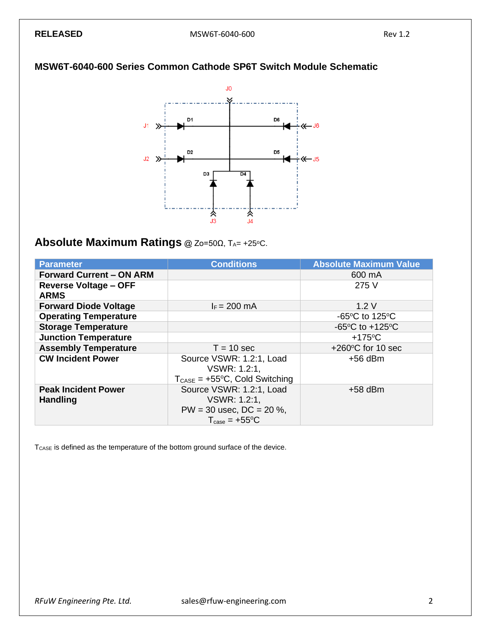#### **MSW6T-6040-600 Series Common Cathode SP6T Switch Module Schematic**



#### **Absolute Maximum Ratings** @ Zo=50Ω, TA= +25°C.

| <b>Parameter</b>                | <b>Conditions</b>                                 | <b>Absolute Maximum Value</b>       |
|---------------------------------|---------------------------------------------------|-------------------------------------|
| <b>Forward Current - ON ARM</b> |                                                   | 600 mA                              |
| <b>Reverse Voltage - OFF</b>    |                                                   | 275 V                               |
| <b>ARMS</b>                     |                                                   |                                     |
| <b>Forward Diode Voltage</b>    | $I_F = 200$ mA                                    | 1.2V                                |
| <b>Operating Temperature</b>    |                                                   | $-65^{\circ}$ C to 125 $^{\circ}$ C |
| <b>Storage Temperature</b>      |                                                   | $-65^{\circ}$ C to $+125^{\circ}$ C |
| <b>Junction Temperature</b>     |                                                   | $+175^{\circ}$ C                    |
| <b>Assembly Temperature</b>     | $T = 10$ sec                                      | $+260^{\circ}$ C for 10 sec         |
| <b>CW Incident Power</b>        | Source VSWR: 1.2:1, Load                          | $+56$ dBm                           |
|                                 | VSWR: 1.2:1,                                      |                                     |
|                                 | $T_{\text{CASE}} = +55^{\circ}C$ , Cold Switching |                                     |
| <b>Peak Incident Power</b>      | Source VSWR: 1.2:1, Load                          | $+58$ dBm                           |
| <b>Handling</b>                 | VSWR: 1.2:1,                                      |                                     |
|                                 | $PW = 30$ usec, $DC = 20$ %,                      |                                     |
|                                 | $T_{\text{case}} = +55^{\circ}C$                  |                                     |

T<sub>CASE</sub> is defined as the temperature of the bottom ground surface of the device.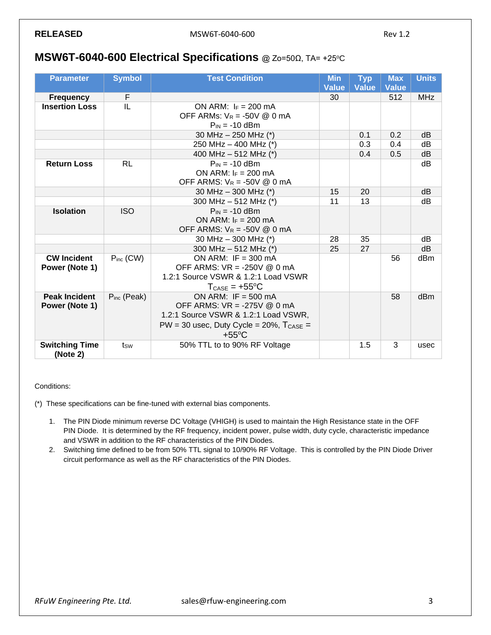#### **MSW6T-6040-600 Electrical Specifications** @ Zo=50Ω, TA= +25°C

| <b>Parameter</b>                       | <b>Symbol</b>                                                                  | <b>Test Condition</b>                                                                                                                                             | <b>Min</b><br><b>Value</b> | <b>Typ</b><br><b>Value</b> | <b>Max</b><br><b>Value</b> | <b>Units</b> |
|----------------------------------------|--------------------------------------------------------------------------------|-------------------------------------------------------------------------------------------------------------------------------------------------------------------|----------------------------|----------------------------|----------------------------|--------------|
| <b>Frequency</b>                       | F                                                                              |                                                                                                                                                                   | 30                         |                            | 512                        | <b>MHz</b>   |
| <b>Insertion Loss</b>                  | IL<br>ON ARM: $I_F = 200$ mA<br>OFF ARMs: $V_R = -50V \text{ @ } 0 \text{ mA}$ |                                                                                                                                                                   |                            |                            |                            |              |
|                                        |                                                                                | $P_{IN} = -10$ dBm                                                                                                                                                |                            |                            |                            |              |
|                                        |                                                                                | 30 MHz - 250 MHz (*)                                                                                                                                              |                            | 0.1                        | 0.2                        | dB           |
|                                        |                                                                                | 250 MHz - 400 MHz (*)                                                                                                                                             |                            | 0.3                        | 0.4                        | dB           |
|                                        |                                                                                | 400 MHz - 512 MHz (*)                                                                                                                                             |                            | 0.4                        | 0.5                        | dB           |
| <b>Return Loss</b>                     | <b>RL</b>                                                                      | $P_{IN} = -10$ dBm<br>ON ARM: $F = 200$ mA<br>OFF ARMS: $V_R = -50V \text{ @ } 0 \text{ mA}$                                                                      |                            |                            |                            | dB           |
|                                        |                                                                                | 30 MHz $-$ 300 MHz (*)                                                                                                                                            | 15                         | 20                         |                            | dB           |
|                                        |                                                                                | 300 MHz - 512 MHz (*)                                                                                                                                             | 11                         | 13                         |                            | dB           |
| <b>Isolation</b>                       | <b>ISO</b>                                                                     | $P_{IN} = -10$ dBm<br>ON ARM: $I_F = 200$ mA<br>OFF ARMS: $V_R = -50V \& 0 \text{ mA}$                                                                            |                            |                            |                            |              |
|                                        |                                                                                | 30 MHz - 300 MHz (*)                                                                                                                                              | 28                         | 35                         |                            | dB           |
|                                        |                                                                                | 300 MHz $-$ 512 MHz (*)                                                                                                                                           | 25                         | 27                         |                            | dB           |
| <b>CW Incident</b><br>Power (Note 1)   | $P_{inc}$ (CW)                                                                 | ON ARM: IF = $300 \text{ mA}$<br>OFF ARMS: VR = -250V @ 0 mA<br>1.2:1 Source VSWR & 1.2:1 Load VSWR<br>$T_{\text{CASE}} = +55^{\circ}C$                           |                            |                            | 56                         | dBm          |
| <b>Peak Incident</b><br>Power (Note 1) | $P_{inc}$ (Peak)                                                               | ON ARM: $IF = 500 mA$<br>OFF ARMS: VR = -275V @ 0 mA<br>1.2:1 Source VSWR & 1.2:1 Load VSWR,<br>$PW = 30$ usec, Duty Cycle = 20%, $T_{CASE} =$<br>$+55^{\circ}$ C |                            |                            | 58                         | dBm          |
| <b>Switching Time</b><br>(Note 2)      | tsw                                                                            | 50% TTL to to 90% RF Voltage                                                                                                                                      |                            | 1.5                        | 3                          | usec         |

Conditions:

(\*) These specifications can be fine-tuned with external bias components.

- 1. The PIN Diode minimum reverse DC Voltage (VHIGH) is used to maintain the High Resistance state in the OFF PIN Diode. It is determined by the RF frequency, incident power, pulse width, duty cycle, characteristic impedance and VSWR in addition to the RF characteristics of the PIN Diodes.
- 2. Switching time defined to be from 50% TTL signal to 10/90% RF Voltage. This is controlled by the PIN Diode Driver circuit performance as well as the RF characteristics of the PIN Diodes.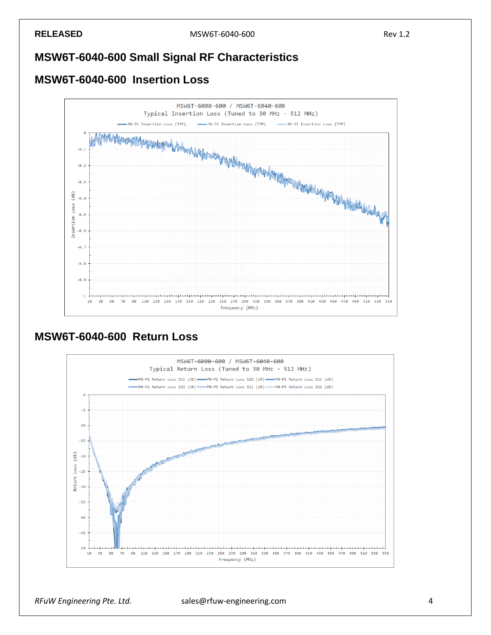#### **MSW6T-6040-600 Small Signal RF Characteristics**

#### **MSW6T-6040-600 Insertion Loss**



#### **MSW6T-6040-600 Return Loss**



#### *RFuW Engineering Pte. Ltd.* sales@rfuw-engineering.com 4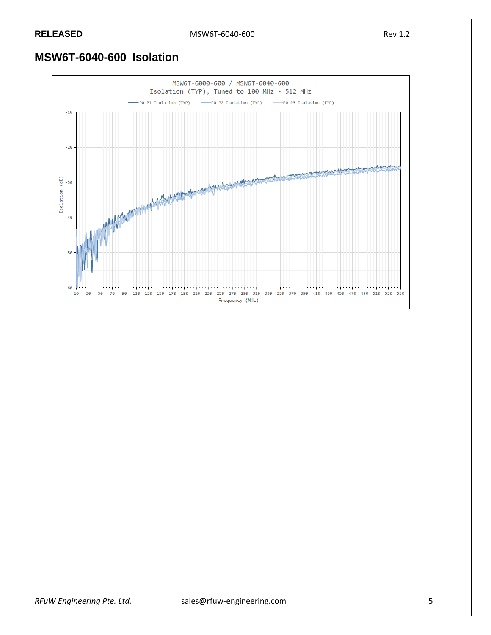**RELEASED** MSW6T-6040-600 Rev 1.2

### **MSW6T-6040-600 Isolation**

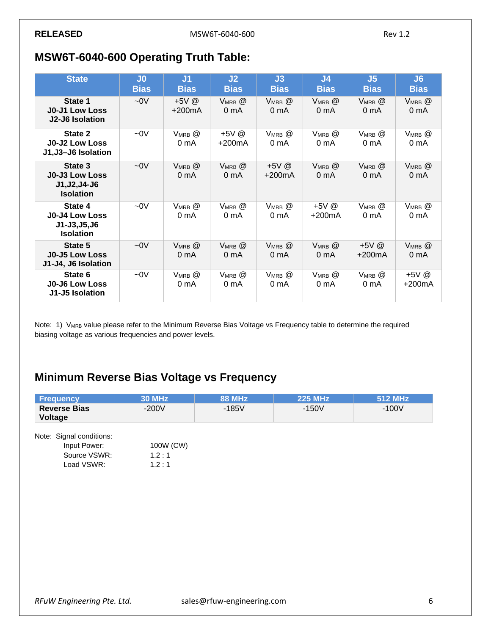### **MSW6T-6040-600 Operating Truth Table:**

| <b>State</b>                                                              | J <sub>0</sub><br><b>Bias</b> | J <sub>1</sub><br><b>Bias</b>     | J2<br><b>Bias</b>                     | J3<br><b>Bias</b>                 | J <sub>4</sub><br><b>Bias</b>     | J <sub>5</sub><br><b>Bias</b>     | J6<br><b>Bias</b>                 |
|---------------------------------------------------------------------------|-------------------------------|-----------------------------------|---------------------------------------|-----------------------------------|-----------------------------------|-----------------------------------|-----------------------------------|
| State 1<br><b>J0-J1 Low Loss</b><br>J2-J6 Isolation                       | $-0V$                         | $+5V$ @<br>$+200mA$               | VMRB <sup>@</sup><br>0 <sub>m</sub> A | $V_{MRB}$ $@$<br>0 mA             | $V_{MRB}$ $@$<br>0 <sub>m</sub> A | VMRB <sup>@</sup><br>0 mA         | $V_{MRB}$ $@$<br>0 <sub>m</sub> A |
| State 2<br><b>J0-J2 Low Loss</b><br>J1,J3-J6 Isolation                    | $-0V$                         | $V_{MRB}$ $@$<br>0 <sub>m</sub> A | +5V @<br>$+200mA$                     | $V_{MRB}$ $@$<br>0 mA             | $V_{MRB}$ $@$<br>0 mA             | $V_{MRB}$ $@$<br>0 <sub>m</sub> A | $V_{MRB}$ $@$<br>0 <sub>m</sub> A |
| State 3<br><b>J0-J3 Low Loss</b><br>J1, J2, J4-J6<br><b>Isolation</b>     | $-0V$                         | $V_{MRB}$ $@$<br>0 <sub>m</sub> A | $V_{MRB}$ $@$<br>0 <sub>m</sub> A     | $+5V$ @<br>$+200mA$               | $V_{MRB}$ $@$<br>0 <sub>m</sub> A | $V_{MRB}$ $@$<br>0 <sub>m</sub> A | $V_{MRB}$ $@$<br>0 <sub>m</sub> A |
| State 4<br><b>J0-J4 Low Loss</b><br>$J1 - J3, J5, J6$<br><b>Isolation</b> | $-0V$                         | $V_{MRB}$ $@$<br>0 <sub>m</sub> A | $V_{MRB}$ $@$<br>0 <sub>m</sub> A     | $V_{MRB}$ $@$<br>0 <sub>m</sub> A | +5V @<br>$+200mA$                 | $V_{MRB}$ $@$<br>0 <sub>m</sub> A | $V_{MRB}$ $@$<br>0 <sub>m</sub> A |
| State 5<br><b>J0-J5 Low Loss</b><br>J1-J4, J6 Isolation                   | $-0V$                         | $V_{MRB}$ $@$<br>0 <sub>m</sub> A | $V_{MRB}$ $@$<br>0 <sub>m</sub> A     | $V_{MRB}$ $@$<br>0 <sub>m</sub> A | $V_{MRB}$ $@$<br>0 <sub>m</sub> A | $+5V$ @<br>$+200mA$               | $V_{MRB}$ $@$<br>0 <sub>m</sub> A |
| State 6<br><b>J0-J6 Low Loss</b><br>J1-J5 Isolation                       | $-0V$                         | $V_{MRB}$ $@$<br>0 <sub>m</sub> A | $V_{MRB}$ $@$<br>0 <sub>m</sub> A     | $V_{MRB}$ $@$<br>0 mA             | $V_{MRB}$ $@$<br>0 <sub>m</sub> A | $V_{MRB}$ $@$<br>0 mA             | $+5V$ @<br>+200mA                 |

Note: 1) VMRB value please refer to the Minimum Reverse Bias Voltage vs Frequency table to determine the required biasing voltage as various frequencies and power levels.

## **Minimum Reverse Bias Voltage vs Frequency**

| <b>Frequency</b>               | <b>30 MHz</b> | <b>88 MHz</b> | <b>225 MHz</b> | 512 MHz |
|--------------------------------|---------------|---------------|----------------|---------|
| <b>Reverse Bias</b><br>Voltage | $-200V$       | $-185V$       | $-150V$        | $-100V$ |
| Note: Signal conditions:       |               |               |                |         |
| Input Power:                   | 100W (CW)     |               |                |         |
| Source VSWR:                   | 1.2:1         |               |                |         |
| Load VSWR:                     | 1.2:1         |               |                |         |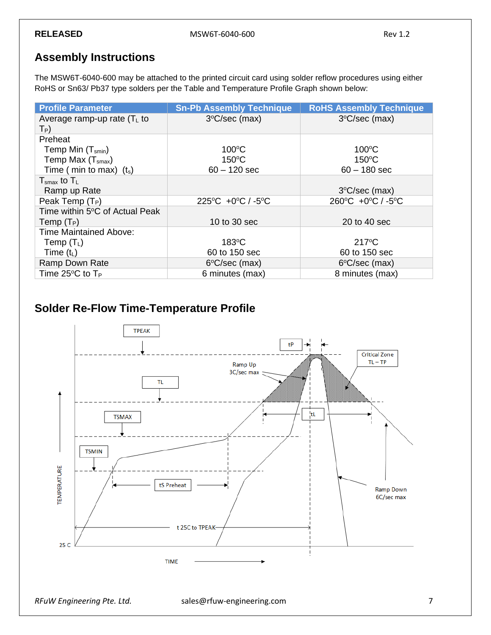#### **Assembly Instructions**

The MSW6T-6040-600 may be attached to the printed circuit card using solder reflow procedures using either RoHS or Sn63/ Pb37 type solders per the Table and Temperature Profile Graph shown below:

| <b>Profile Parameter</b>                   | <b>Sn-Pb Assembly Technique</b>                   | <b>RoHS Assembly Technique</b>                    |
|--------------------------------------------|---------------------------------------------------|---------------------------------------------------|
| Average ramp-up rate $(TL$ to<br>$T_P$ )   | $3^{\circ}$ C/sec (max)                           | $3^{\circ}$ C/sec (max)                           |
| Preheat                                    |                                                   |                                                   |
| Temp Min $(T_{smin})$                      | $100^{\circ}$ C                                   | $100^{\circ}$ C                                   |
| Temp Max $(Tsmax)$                         | $150^{\circ}$ C                                   | $150^{\circ}$ C                                   |
| Time ( min to max) $(t_s)$                 | $60 - 120$ sec                                    | $60 - 180$ sec                                    |
| $T_{\text{smax}}$ to $T_L$                 |                                                   |                                                   |
| Ramp up Rate                               |                                                   | $3^{\circ}$ C/sec (max)                           |
| Peak Temp (T <sub>P</sub> )                | $225^{\circ}$ C +0 $^{\circ}$ C / -5 $^{\circ}$ C | $260^{\circ}$ C +0 $^{\circ}$ C / -5 $^{\circ}$ C |
| Time within 5°C of Actual Peak             |                                                   |                                                   |
| Temp $(T_P)$                               | 10 to 30 sec                                      | 20 to 40 sec                                      |
| <b>Time Maintained Above:</b>              |                                                   |                                                   |
| Temp $(T_L)$                               | $183^{\circ}$ C                                   | $217^{\circ}$ C                                   |
| Time $(t_L)$                               | 60 to 150 sec                                     | 60 to 150 sec                                     |
| Ramp Down Rate                             | $6^{\circ}$ C/sec (max)                           | 6°C/sec (max)                                     |
| Time 25 $\rm{^{\circ}C}$ to T <sub>P</sub> | 6 minutes (max)                                   | 8 minutes (max)                                   |

#### **Solder Re-Flow Time-Temperature Profile**

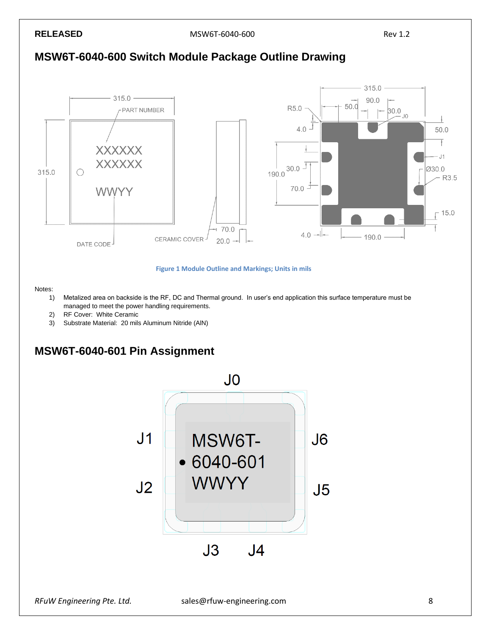**RELEASED** MSW6T-6040-600 RELEASED Rev 1.2







#### Notes:

- 1) Metalized area on backside is the RF, DC and Thermal ground. In user's end application this surface temperature must be managed to meet the power handling requirements.
- 2) RF Cover: White Ceramic
- 3) Substrate Material: 20 mils Aluminum Nitride (AlN)

#### **MSW6T-6040-601 Pin Assignment**

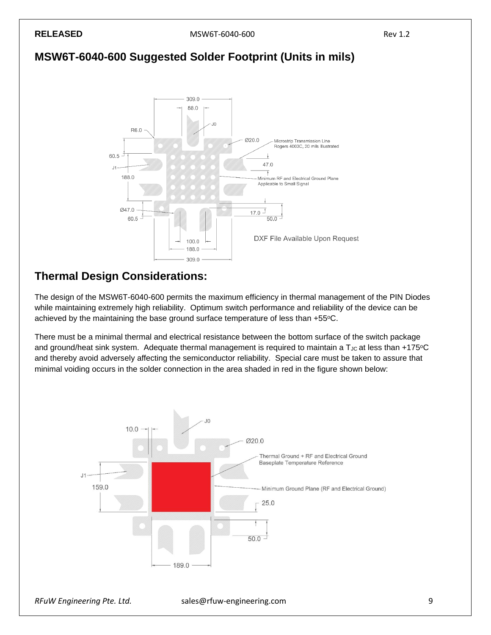**RELEASED** Rev 1.2





#### **Thermal Design Considerations:**

The design of the MSW6T-6040-600 permits the maximum efficiency in thermal management of the PIN Diodes while maintaining extremely high reliability. Optimum switch performance and reliability of the device can be achieved by the maintaining the base ground surface temperature of less than +55°C.

There must be a minimal thermal and electrical resistance between the bottom surface of the switch package and ground/heat sink system. Adequate thermal management is required to maintain a T<sub>JC</sub> at less than +175°C and thereby avoid adversely affecting the semiconductor reliability. Special care must be taken to assure that minimal voiding occurs in the solder connection in the area shaded in red in the figure shown below:

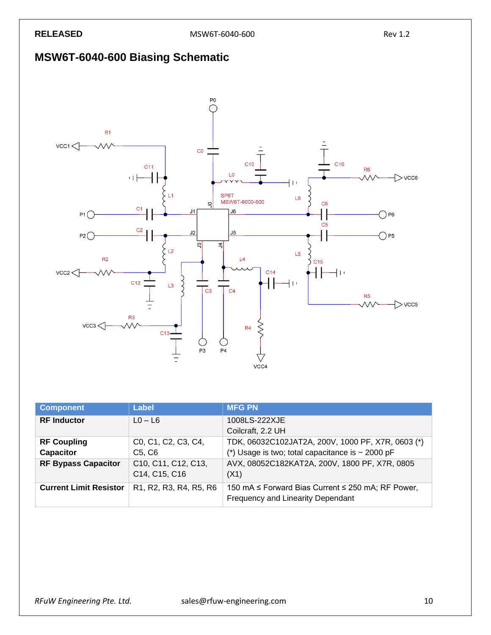## **MSW6T-6040-600 Biasing Schematic**



| <b>Component</b>                | Label                                                                                               | <b>MFG PN</b>                                                                                              |
|---------------------------------|-----------------------------------------------------------------------------------------------------|------------------------------------------------------------------------------------------------------------|
| <b>RF</b> Inductor              | $LO - LG$                                                                                           | 1008LS-222XJE<br>Coilcraft, 2.2 UH                                                                         |
| <b>RF Coupling</b><br>Capacitor | C0, C1, C2, C3, C4,<br>C5, C6                                                                       | TDK, 06032C102JAT2A, 200V, 1000 PF, X7R, 0603 (*)<br>(*) Usage is two; total capacitance is $\sim 2000$ pF |
| <b>RF Bypass Capacitor</b>      | C10, C11, C12, C13,<br>C14, C15, C16                                                                | AVX, 08052C182KAT2A, 200V, 1800 PF, X7R, 0805<br>(X1)                                                      |
| <b>Current Limit Resistor</b>   | R <sub>1</sub> , R <sub>2</sub> , R <sub>3</sub> , R <sub>4</sub> , R <sub>5</sub> , R <sub>6</sub> | 150 mA ≤ Forward Bias Current ≤ 250 mA; RF Power,<br>Frequency and Linearity Dependant                     |